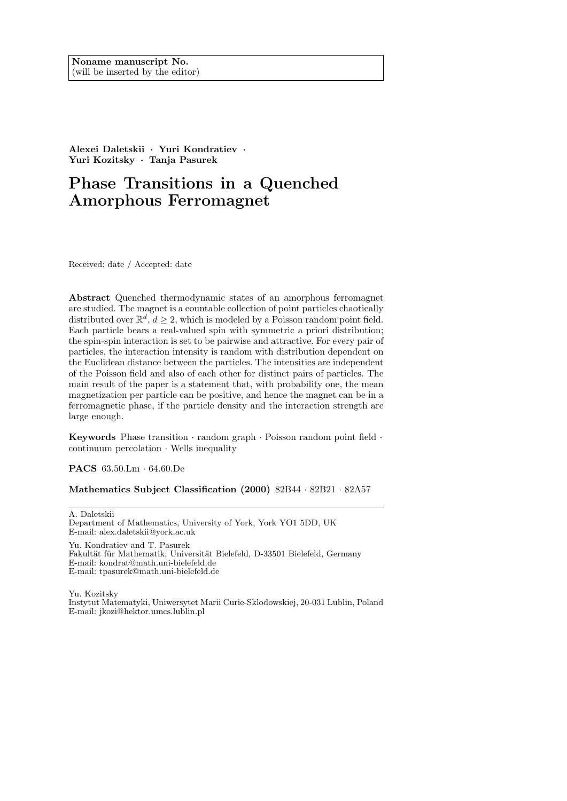**Alexei Daletskii** *·* **Yuri Kondratiev** *·* **Yuri Kozitsky** *·* **Tanja Pasurek**

# **Phase Transitions in a Quenched Amorphous Ferromagnet**

Received: date / Accepted: date

**Abstract** Quenched thermodynamic states of an amorphous ferromagnet are studied. The magnet is a countable collection of point particles chaotically distributed over  $\mathbb{R}^d$ ,  $d \geq 2$ , which is modeled by a Poisson random point field. Each particle bears a real-valued spin with symmetric a priori distribution; the spin-spin interaction is set to be pairwise and attractive. For every pair of particles, the interaction intensity is random with distribution dependent on the Euclidean distance between the particles. The intensities are independent of the Poisson field and also of each other for distinct pairs of particles. The main result of the paper is a statement that, with probability one, the mean magnetization per particle can be positive, and hence the magnet can be in a ferromagnetic phase, if the particle density and the interaction strength are large enough.

**Keywords** Phase transition *·* random graph *·* Poisson random point field *·* continuum percolation *·* Wells inequality

**PACS** 63.50.Lm *·* 64.60.De

**Mathematics Subject Classification (2000)** 82B44 *·* 82B21 *·* 82A57

A. Daletskii Department of Mathematics, University of York, York YO1 5DD, UK E-mail: alex.daletskii@york.ac.uk

Yu. Kondratiev and T. Pasurek Fakultät für Mathematik, Universität Bielefeld, D-33501 Bielefeld, Germany E-mail: kondrat@math.uni-bielefeld.de E-mail: tpasurek@math.uni-bielefeld.de

Yu. Kozitsky Instytut Matematyki, Uniwersytet Marii Curie-Sklodowskiej, 20-031 Lublin, Poland E-mail: jkozi@hektor.umcs.lublin.pl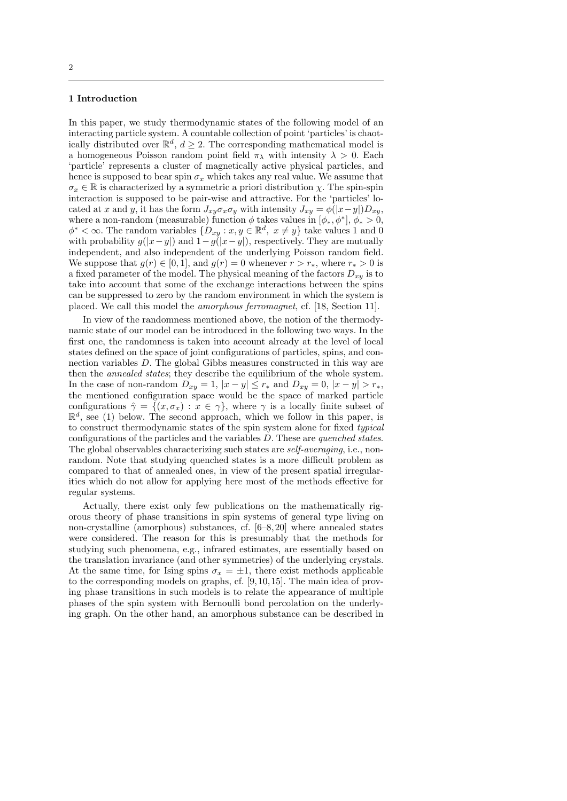## **1 Introduction**

In this paper, we study thermodynamic states of the following model of an interacting particle system. A countable collection of point 'particles' is chaotically distributed over  $\mathbb{R}^d$ ,  $d \geq 2$ . The corresponding mathematical model is a homogeneous Poisson random point field  $\pi_{\lambda}$  with intensity  $\lambda > 0$ . Each 'particle' represents a cluster of magnetically active physical particles, and hence is supposed to bear spin  $\sigma_x$  which takes any real value. We assume that  $\sigma_x \in \mathbb{R}$  is characterized by a symmetric a priori distribution *χ*. The spin-spin interaction is supposed to be pair-wise and attractive. For the 'particles' located at *x* and *y*, it has the form  $J_{xy}\sigma_x\sigma_y$  with intensity  $J_{xy} = \phi(|x-y|)D_{xy}$ , where a non-random (measurable) function  $\phi$  takes values in  $[\phi_*, \phi^*], \phi_* > 0$ ,  $\phi^* < \infty$ . The random variables  $\{D_{xy} : x, y \in \mathbb{R}^d, x \neq y\}$  take values 1 and 0 with probability  $g(|x-y|)$  and  $1-g(|x-y|)$ , respectively. They are mutually independent, and also independent of the underlying Poisson random field. We suppose that  $g(r) \in [0, 1]$ , and  $g(r) = 0$  whenever  $r > r_*$ , where  $r_* > 0$  is a fixed parameter of the model. The physical meaning of the factors  $D_{xy}$  is to take into account that some of the exchange interactions between the spins can be suppressed to zero by the random environment in which the system is placed. We call this model the *amorphous ferromagnet*, cf. [18, Section 11].

In view of the randomness mentioned above, the notion of the thermodynamic state of our model can be introduced in the following two ways. In the first one, the randomness is taken into account already at the level of local states defined on the space of joint configurations of particles, spins, and connection variables *D*. The global Gibbs measures constructed in this way are then the *annealed states*; they describe the equilibrium of the whole system. In the case of non-random  $D_{xy} = 1$ ,  $|x - y| \le r_*$  and  $D_{xy} = 0$ ,  $|x - y| > r_*$ , the mentioned configuration space would be the space of marked particle configurations  $\hat{\gamma} = \{(x, \sigma_x) : x \in \gamma\}$ , where  $\gamma$  is a locally finite subset of  $\mathbb{R}^d$ , see (1) below. The second approach, which we follow in this paper, is to construct thermodynamic states of the spin system alone for fixed *typical* configurations of the particles and the variables *D*. These are *quenched states*. The global observables characterizing such states are *self-averaging*, i.e., nonrandom. Note that studying quenched states is a more difficult problem as compared to that of annealed ones, in view of the present spatial irregularities which do not allow for applying here most of the methods effective for regular systems.

Actually, there exist only few publications on the mathematically rigorous theory of phase transitions in spin systems of general type living on non-crystalline (amorphous) substances, cf. [6–8, 20] where annealed states were considered. The reason for this is presumably that the methods for studying such phenomena, e.g., infrared estimates, are essentially based on the translation invariance (and other symmetries) of the underlying crystals. At the same time, for Ising spins  $\sigma_x = \pm 1$ , there exist methods applicable to the corresponding models on graphs, cf. [9, 10, 15]. The main idea of proving phase transitions in such models is to relate the appearance of multiple phases of the spin system with Bernoulli bond percolation on the underlying graph. On the other hand, an amorphous substance can be described in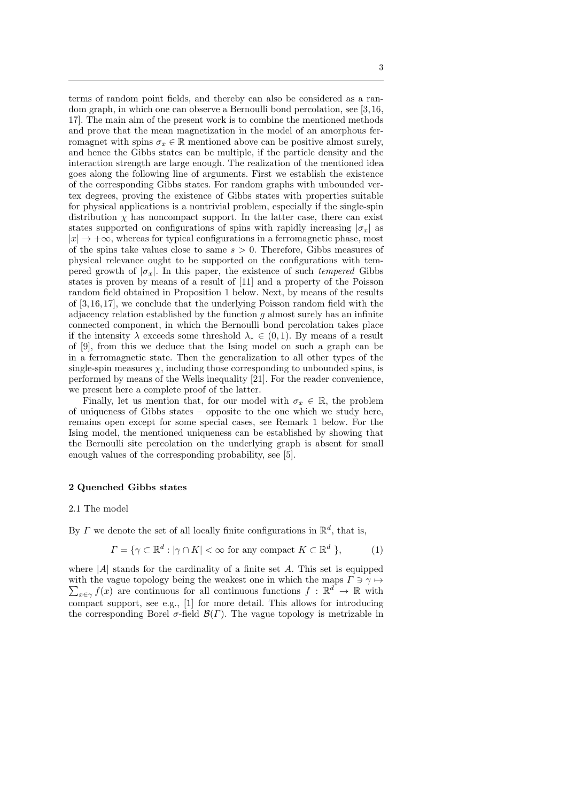terms of random point fields, and thereby can also be considered as a random graph, in which one can observe a Bernoulli bond percolation, see [3, 16, 17]. The main aim of the present work is to combine the mentioned methods and prove that the mean magnetization in the model of an amorphous ferromagnet with spins  $\sigma_x \in \mathbb{R}$  mentioned above can be positive almost surely, and hence the Gibbs states can be multiple, if the particle density and the interaction strength are large enough. The realization of the mentioned idea goes along the following line of arguments. First we establish the existence of the corresponding Gibbs states. For random graphs with unbounded vertex degrees, proving the existence of Gibbs states with properties suitable for physical applications is a nontrivial problem, especially if the single-spin distribution  $\chi$  has noncompact support. In the latter case, there can exist states supported on configurations of spins with rapidly increasing  $|\sigma_x|$  as  $|x| \to +\infty$ , whereas for typical configurations in a ferromagnetic phase, most of the spins take values close to same *s >* 0. Therefore, Gibbs measures of physical relevance ought to be supported on the configurations with tempered growth of  $|\sigma_x|$ . In this paper, the existence of such *tempered* Gibbs states is proven by means of a result of [11] and a property of the Poisson random field obtained in Proposition 1 below. Next, by means of the results of [3, 16, 17], we conclude that the underlying Poisson random field with the adjacency relation established by the function *g* almost surely has an infinite connected component, in which the Bernoulli bond percolation takes place if the intensity  $\lambda$  exceeds some threshold  $\lambda_* \in (0,1)$ . By means of a result of [9], from this we deduce that the Ising model on such a graph can be in a ferromagnetic state. Then the generalization to all other types of the single-spin measures  $\chi$ , including those corresponding to unbounded spins, is performed by means of the Wells inequality [21]. For the reader convenience, we present here a complete proof of the latter.

Finally, let us mention that, for our model with  $\sigma_x \in \mathbb{R}$ , the problem of uniqueness of Gibbs states – opposite to the one which we study here, remains open except for some special cases, see Remark 1 below. For the Ising model, the mentioned uniqueness can be established by showing that the Bernoulli site percolation on the underlying graph is absent for small enough values of the corresponding probability, see [5].

## **2 Quenched Gibbs states**

#### 2.1 The model

By *Γ* we denote the set of all locally finite configurations in R*<sup>d</sup>* , that is,

$$
\Gamma = \{ \gamma \subset \mathbb{R}^d : |\gamma \cap K| < \infty \text{ for any compact } K \subset \mathbb{R}^d \},\tag{1}
$$

where  $|A|$  stands for the cardinality of a finite set  $A$ . This set is equipped with the vague topology being the weakest one in which the maps  $\Gamma \ni \gamma \mapsto$  $\sum_{x \in \gamma} f(x)$  are continuous for all continuous functions  $f : \mathbb{R}^d \to \mathbb{R}$  with compact support, see e.g., [1] for more detail. This allows for introducing the corresponding Borel  $\sigma$ -field  $\mathcal{B}(\Gamma)$ . The vague topology is metrizable in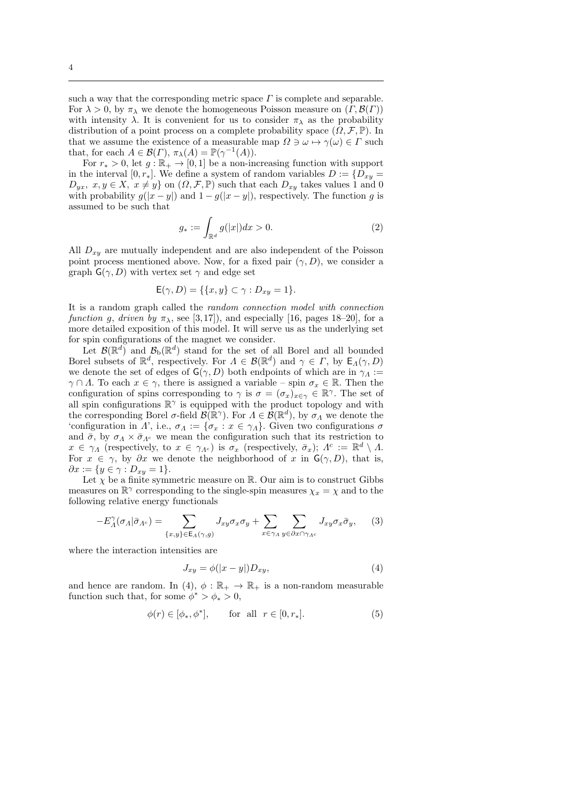such a way that the corresponding metric space  $\Gamma$  is complete and separable. For  $\lambda > 0$ , by  $\pi_{\lambda}$  we denote the homogeneous Poisson measure on  $(\Gamma, \mathcal{B}(\Gamma))$ with intensity  $\lambda$ . It is convenient for us to consider  $\pi_{\lambda}$  as the probability distribution of a point process on a complete probability space  $(\Omega, \mathcal{F}, \mathbb{P})$ . In that we assume the existence of a measurable map  $\Omega \ni \omega \mapsto \gamma(\omega) \in \Gamma$  such that, for each  $A \in \mathcal{B}(\Gamma)$ ,  $\pi_{\lambda}(A) = \mathbb{P}(\gamma^{-1}(A)).$ 

For  $r_* > 0$ , let  $g : \mathbb{R}_+ \to [0,1]$  be a non-increasing function with support in the interval  $[0, r_*]$ . We define a system of random variables  $D := \{D_{xy} =$  $D_{yx}$ *, x, y*  $\in$  *X*,  $x \neq y$ *}* on  $(\Omega, \mathcal{F}, \mathbb{P})$  such that each  $D_{xy}$  takes values 1 and 0 with probability  $g(|x-y|)$  and  $1-g(|x-y|)$ , respectively. The function *g* is assumed to be such that

$$
g_* := \int_{\mathbb{R}^d} g(|x|) dx > 0.
$$
 (2)

All *Dxy* are mutually independent and are also independent of the Poisson point process mentioned above. Now, for a fixed pair  $(\gamma, D)$ , we consider a graph  $\mathsf{G}(\gamma, D)$  with vertex set  $\gamma$  and edge set

$$
\mathsf{E}(\gamma, D) = \{ \{x, y\} \subset \gamma : D_{xy} = 1 \}.
$$

It is a random graph called the *random connection model with connection function g*, *driven by*  $\pi_{\lambda}$ , see [3,17]), and especially [16, pages 18–20], for a more detailed exposition of this model. It will serve us as the underlying set for spin configurations of the magnet we consider.

Let  $\mathcal{B}(\mathbb{R}^d)$  and  $\mathcal{B}_b(\mathbb{R}^d)$  stand for the set of all Borel and all bounded Borel subsets of  $\mathbb{R}^d$ , respectively. For  $\Lambda \in \mathcal{B}(\mathbb{R}^d)$  and  $\gamma \in \Gamma$ , by  $\mathsf{E}_\Lambda(\gamma, D)$ we denote the set of edges of  $G(\gamma, D)$  both endpoints of which are in  $\gamma_A :=$ *γ* ∩ *Λ*. To each  $x \in \gamma$ , there is assigned a variable – spin  $\sigma_x \in \mathbb{R}$ . Then the configuration of spins corresponding to  $\gamma$  is  $\sigma = (\sigma_x)_{x \in \gamma} \in \mathbb{R}^{\gamma}$ . The set of all spin configurations  $\mathbb{R}^{\gamma}$  is equipped with the product topology and with the corresponding Borel  $\sigma$ -field  $\mathcal{B}(\mathbb{R}^{\gamma})$ . For  $\Lambda \in \mathcal{B}(\mathbb{R}^d)$ , by  $\sigma_{\Lambda}$  we denote the 'configuration in *Λ*', i.e.,  $\sigma_A := {\sigma_x : x \in \gamma_A}$ . Given two configurations  $\sigma$ and  $\bar{\sigma}$ , by  $\sigma_A \times \bar{\sigma}_{\Lambda^c}$  we mean the configuration such that its restriction to  $x \in \gamma_A$  (respectively, to  $x \in \gamma_{A^c}$ ) is  $\sigma_x$  (respectively,  $\bar{\sigma}_x$ );  $A^c := \mathbb{R}^d \setminus A$ . For  $x \in \gamma$ , by  $\partial x$  we denote the neighborhood of x in  $G(\gamma, D)$ , that is,  $\partial x := \{y \in \gamma : D_{xy} = 1\}.$ 

Let  $\chi$  be a finite symmetric measure on  $\mathbb{R}$ . Our aim is to construct Gibbs measures on  $\mathbb{R}^{\gamma}$  corresponding to the single-spin measures  $\chi_x = \chi$  and to the following relative energy functionals

$$
-E_{\Lambda}^{\gamma}(\sigma_{\Lambda}|\bar{\sigma}_{\Lambda^c}) = \sum_{\{x,y\} \in \mathsf{E}_{\Lambda}(\gamma,g)} J_{xy}\sigma_x\sigma_y + \sum_{x \in \gamma_{\Lambda}} \sum_{y \in \partial x \cap \gamma_{\Lambda^c}} J_{xy}\sigma_x\bar{\sigma}_y, \quad (3)
$$

where the interaction intensities are

$$
J_{xy} = \phi(|x - y|)D_{xy},\tag{4}
$$

and hence are random. In (4),  $\phi : \mathbb{R}_+ \to \mathbb{R}_+$  is a non-random measurable function such that, for some  $\phi^* > \phi_* > 0$ ,

$$
\phi(r) \in [\phi_*, \phi^*], \qquad \text{for all } r \in [0, r_*]. \tag{5}
$$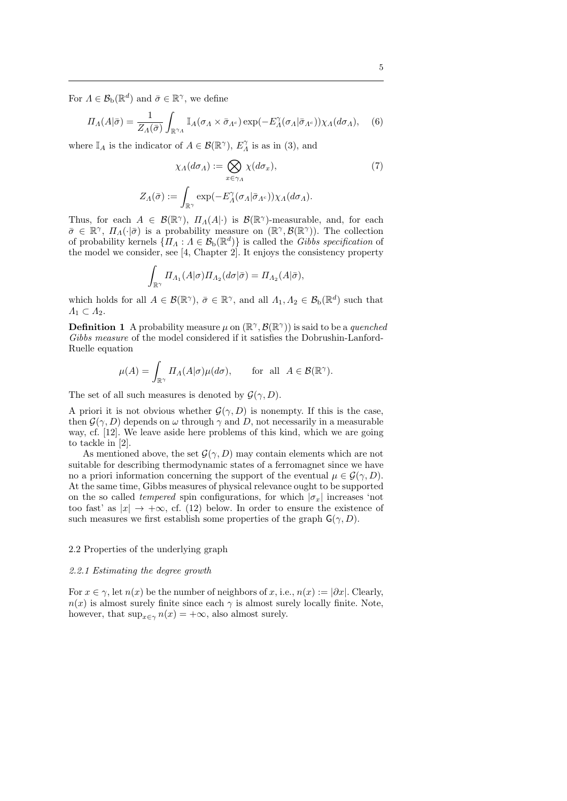For  $\Lambda \in \mathcal{B}_{\mathrm{b}}(\mathbb{R}^d)$  and  $\bar{\sigma} \in \mathbb{R}^{\gamma}$ , we define

$$
\Pi_A(A|\bar{\sigma}) = \frac{1}{Z_A(\bar{\sigma})} \int_{\mathbb{R}^{\gamma_A}} \mathbb{I}_A(\sigma_A \times \bar{\sigma}_{A^c}) \exp(-E_A^{\gamma}(\sigma_A|\bar{\sigma}_{A^c})) \chi_A(d\sigma_A), \quad (6)
$$

where  $\mathbb{I}_A$  is the indicator of  $A \in \mathcal{B}(\mathbb{R}^{\gamma})$ ,  $E_A^{\gamma}$  is as in (3), and

$$
\chi_{\Lambda}(d\sigma_{\Lambda}) := \bigotimes_{x \in \gamma_{\Lambda}} \chi(d\sigma_{x}), \tag{7}
$$

$$
Z_{\Lambda}(\bar{\sigma}) := \int_{\mathbb{R}^{\gamma}} \exp(-E_{\Lambda}^{\gamma}(\sigma_{\Lambda}|\bar{\sigma}_{\Lambda^{c}})) \chi_{\Lambda}(d\sigma_{\Lambda}).
$$

Thus, for each  $A \in \mathcal{B}(\mathbb{R}^{\gamma})$ ,  $\Pi_A(A|\cdot)$  is  $\mathcal{B}(\mathbb{R}^{\gamma})$ -measurable, and, for each  $\bar{\sigma} \in \mathbb{R}^{\gamma}$ ,  $\Pi_{\Lambda}(\cdot|\bar{\sigma})$  is a probability measure on  $(\mathbb{R}^{\gamma}, \mathcal{B}(\mathbb{R}^{\gamma}))$ . The collection of probability kernels  $\{ \Pi_A : A \in \mathcal{B}_b(\mathbb{R}^d) \}$  is called the *Gibbs specification* of the model we consider, see [4, Chapter 2]. It enjoys the consistency property

$$
\int_{\mathbb{R}^\gamma} \varPi_{\Lambda_1} (A|\sigma) \varPi_{\Lambda_2}(d\sigma|\bar{\sigma}) = \varPi_{\Lambda_2} (A|\bar{\sigma}),
$$

which holds for all  $A \in \mathcal{B}(\mathbb{R}^{\gamma})$ ,  $\bar{\sigma} \in \mathbb{R}^{\gamma}$ , and all  $\Lambda_1, \Lambda_2 \in \mathcal{B}_b(\mathbb{R}^d)$  such that *Λ*<sup>1</sup> *⊂ Λ*2.

**Definition 1** A probability measure  $\mu$  on  $(\mathbb{R}^{\gamma}, \mathcal{B}(\mathbb{R}^{\gamma}))$  is said to be a *quenched Gibbs measure* of the model considered if it satisfies the Dobrushin-Lanford-Ruelle equation

$$
\mu(A) = \int_{\mathbb{R}^\gamma} \Pi_A(A|\sigma) \mu(d\sigma), \quad \text{for all } A \in \mathcal{B}(\mathbb{R}^\gamma).
$$

The set of all such measures is denoted by  $\mathcal{G}(\gamma, D)$ .

A priori it is not obvious whether  $\mathcal{G}(\gamma, D)$  is nonempty. If this is the case, then  $\mathcal{G}(\gamma, D)$  depends on  $\omega$  through  $\gamma$  and *D*, not necessarily in a measurable way, cf. [12]. We leave aside here problems of this kind, which we are going to tackle in [2].

As mentioned above, the set  $\mathcal{G}(\gamma, D)$  may contain elements which are not suitable for describing thermodynamic states of a ferromagnet since we have no a priori information concerning the support of the eventual  $\mu \in \mathcal{G}(\gamma, D)$ . At the same time, Gibbs measures of physical relevance ought to be supported on the so called *tempered* spin configurations, for which  $|\sigma_x|$  increases 'not too fast' as  $|x| \to +\infty$ , cf. (12) below. In order to ensure the existence of such measures we first establish some properties of the graph  $\mathsf{G}(\gamma, D)$ .

# 2.2 Properties of the underlying graph

## *2.2.1 Estimating the degree growth*

For  $x \in \gamma$ , let  $n(x)$  be the number of neighbors of x, i.e.,  $n(x) := |\partial x|$ . Clearly,  $n(x)$  is almost surely finite since each  $\gamma$  is almost surely locally finite. Note, however, that  $\sup_{x \in \gamma} n(x) = +\infty$ , also almost surely.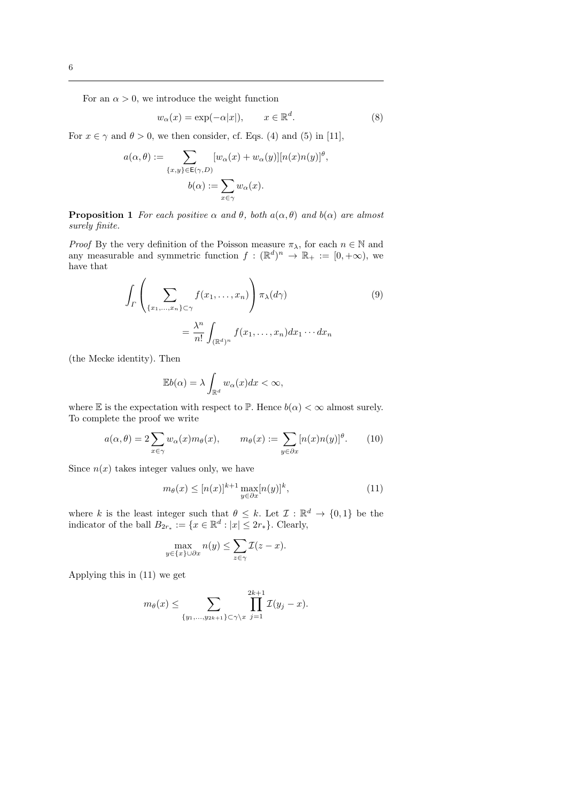For an  $\alpha > 0$ , we introduce the weight function

$$
w_{\alpha}(x) = \exp(-\alpha|x|), \qquad x \in \mathbb{R}^d. \tag{8}
$$

*,*

For  $x \in \gamma$  and  $\theta > 0$ , we then consider, cf. Eqs. (4) and (5) in [11],

$$
a(\alpha, \theta) := \sum_{\{x, y\} \in E(\gamma, D)} [w_{\alpha}(x) + w_{\alpha}(y)][n(x)n(y)]^{\theta}
$$

$$
b(\alpha) := \sum_{x \in \gamma} w_{\alpha}(x).
$$

**Proposition 1** *For each positive*  $\alpha$  *and*  $\theta$ *, both*  $a(\alpha, \theta)$  *and*  $b(\alpha)$  *are almost surely finite.*

*Proof* By the very definition of the Poisson measure  $\pi_{\lambda}$ , for each  $n \in \mathbb{N}$  and any measurable and symmetric function  $f : (\mathbb{R}^d)^n \to \mathbb{R}_+ := [0, +\infty)$ , we have that

$$
\int_{\Gamma} \left( \sum_{\{x_1, \dots, x_n\} \subset \gamma} f(x_1, \dots, x_n) \right) \pi_{\lambda}(d\gamma) \tag{9}
$$
\n
$$
= \frac{\lambda^n}{n!} \int_{(\mathbb{R}^d)^n} f(x_1, \dots, x_n) dx_1 \cdots dx_n
$$

(the Mecke identity). Then

$$
\mathbb{E}b(\alpha) = \lambda \int_{\mathbb{R}^d} w_\alpha(x) dx < \infty,
$$

where  $E$  is the expectation with respect to  $\mathbb{P}$ . Hence  $b(\alpha) < \infty$  almost surely. To complete the proof we write

$$
a(\alpha, \theta) = 2 \sum_{x \in \gamma} w_{\alpha}(x) m_{\theta}(x), \qquad m_{\theta}(x) := \sum_{y \in \partial x} [n(x) n(y)]^{\theta}.
$$
 (10)

Since  $n(x)$  takes integer values only, we have

$$
m_{\theta}(x) \le [n(x)]^{k+1} \max_{y \in \partial x} [n(y)]^k, \tag{11}
$$

where *k* is the least integer such that  $\theta \leq k$ . Let  $\mathcal{I}: \mathbb{R}^d \to \{0,1\}$  be the indicator of the ball  $B_{2r_*} := \{x \in \mathbb{R}^d : |x| \leq 2r_*\}$ . Clearly,

$$
\max_{y \in \{x\} \cup \partial x} n(y) \le \sum_{z \in \gamma} \mathcal{I}(z - x).
$$

Applying this in (11) we get

$$
m_{\theta}(x) \leq \sum_{\{y_1,\ldots,y_{2k+1}\}\subset \gamma\setminus x} \prod_{j=1}^{2k+1} \mathcal{I}(y_j-x).
$$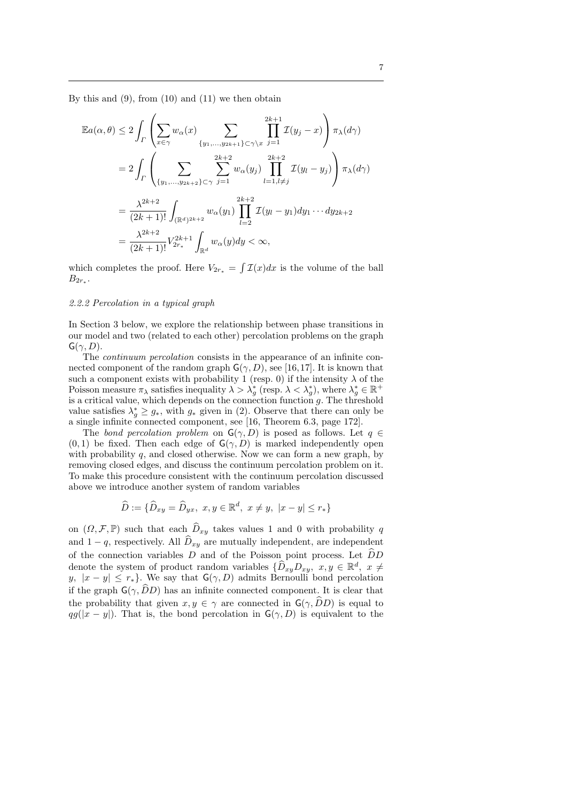By this and  $(9)$ , from  $(10)$  and  $(11)$  we then obtain

$$
\mathbb{E}a(\alpha,\theta) \le 2 \int_{\Gamma} \left( \sum_{x \in \gamma} w_{\alpha}(x) \sum_{\{y_1, \dots, y_{2k+1}\} \subset \gamma \backslash x} \prod_{j=1}^{2k+1} \mathcal{I}(y_j - x) \right) \pi_{\lambda}(d\gamma)
$$
  
\n
$$
= 2 \int_{\Gamma} \left( \sum_{\{y_1, \dots, y_{2k+2}\} \subset \gamma} \sum_{j=1}^{2k+2} w_{\alpha}(y_j) \prod_{l=1, l \neq j}^{2k+2} \mathcal{I}(y_l - y_j) \right) \pi_{\lambda}(d\gamma)
$$
  
\n
$$
= \frac{\lambda^{2k+2}}{(2k+1)!} \int_{(\mathbb{R}^d)^{2k+2}} w_{\alpha}(y_1) \prod_{l=2}^{2k+2} \mathcal{I}(y_l - y_1) dy_1 \cdots dy_{2k+2}
$$
  
\n
$$
= \frac{\lambda^{2k+2}}{(2k+1)!} V_{2r_*}^{2k+1} \int_{\mathbb{R}^d} w_{\alpha}(y) dy < \infty,
$$

which completes the proof. Here  $V_{2r_*} = \int \mathcal{I}(x) dx$  is the volume of the ball  $B_{2r_*}$ .

# *2.2.2 Percolation in a typical graph*

In Section 3 below, we explore the relationship between phase transitions in our model and two (related to each other) percolation problems on the graph  $G(\gamma, D)$ .

The *continuum percolation* consists in the appearance of an infinite connected component of the random graph  $G(\gamma, D)$ , see [16,17]. It is known that such a component exists with probability 1 (resp. 0) if the intensity  $\lambda$  of the Poisson measure  $\pi_{\lambda}$  satisfies inequality  $\lambda > \lambda_g^*$  (resp.  $\lambda < \lambda_g^*$ ), where  $\lambda_g^* \in \mathbb{R}^+$ is a critical value, which depends on the connection function *g*. The threshold value satisfies  $\lambda_g^* \geq g_*$ , with  $g_*$  given in (2). Observe that there can only be a single infinite connected component, see [16, Theorem 6.3, page 172].

The *bond percolation problem* on  $G(\gamma, D)$  is posed as follows. Let  $q \in$  $(0,1)$  be fixed. Then each edge of  $G(\gamma, D)$  is marked independently open with probability *q*, and closed otherwise. Now we can form a new graph, by removing closed edges, and discuss the continuum percolation problem on it. To make this procedure consistent with the continuum percolation discussed above we introduce another system of random variables

$$
\widehat{D} := \{ \widehat{D}_{xy} = \widehat{D}_{yx}, \ x, y \in \mathbb{R}^d, \ x \neq y, \ |x - y| \leq r_* \}
$$

on  $(\Omega, \mathcal{F}, \mathbb{P})$  such that each  $\hat{D}_{xy}$  takes values 1 and 0 with probability *q* and  $1 - q$ , respectively. All  $\widehat{D}_{xy}$  are mutually independent, are independent of the connection variables  $D$  and of the Poisson point process. Let  $\widehat{D}D$ denote the system of product random variables  $\{\hat{D}_{xy}D_{xy}, x, y \in \mathbb{R}^d, x \neq 0\}$ *y*,  $|x - y| \leq r_*$ . We say that  $G(\gamma, D)$  admits Bernoulli bond percolation if the graph  $\mathsf{G}(\gamma, \widehat{D}D)$  has an infinite connected component. It is clear that the probability that given  $x, y \in \gamma$  are connected in  $\mathsf{G}(\gamma, \widehat{D}D)$  is equal to  $qg(|x-y|)$ . That is, the bond percolation in  $G(\gamma, D)$  is equivalent to the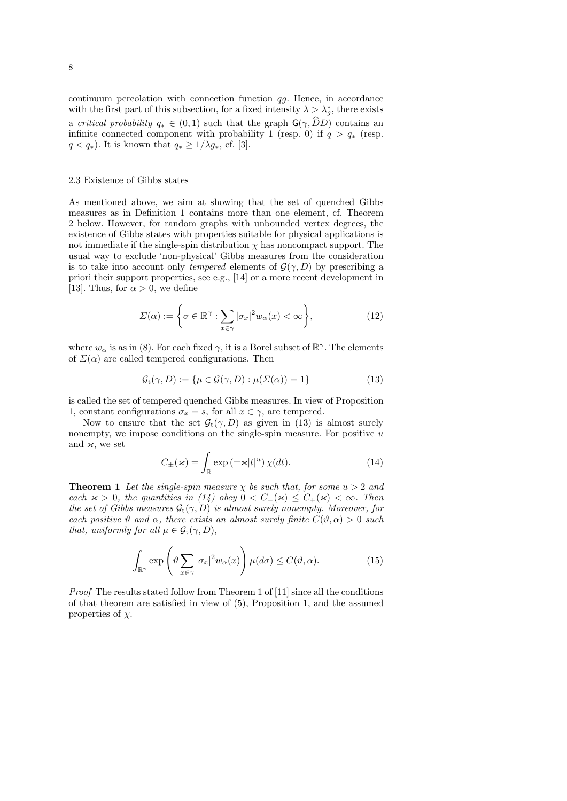continuum percolation with connection function *qg*. Hence, in accordance with the first part of this subsection, for a fixed intensity  $\lambda > \lambda_g^*$ , there exists a *critical probability*  $q_* \in (0,1)$  such that the graph  $\mathsf{G}(\gamma, \widehat{D}D)$  contains an infinite connected component with probability 1 (resp. 0) if  $q > q_*$  (resp. *q* < *q*<sup>∗</sup>). It is known that  $q$ <sup>\*</sup> ≥ 1/ $\lambda$ *g*<sup>\*</sup>, cf. [3].

#### 2.3 Existence of Gibbs states

As mentioned above, we aim at showing that the set of quenched Gibbs measures as in Definition 1 contains more than one element, cf. Theorem 2 below. However, for random graphs with unbounded vertex degrees, the existence of Gibbs states with properties suitable for physical applications is not immediate if the single-spin distribution  $\chi$  has noncompact support. The usual way to exclude 'non-physical' Gibbs measures from the consideration is to take into account only *tempered* elements of  $G(\gamma, D)$  by prescribing a priori their support properties, see e.g., [14] or a more recent development in [13]. Thus, for  $\alpha > 0$ , we define

$$
\Sigma(\alpha) := \left\{ \sigma \in \mathbb{R}^{\gamma} : \sum_{x \in \gamma} |\sigma_x|^2 w_\alpha(x) < \infty \right\},\tag{12}
$$

where  $w_{\alpha}$  is as in (8). For each fixed  $\gamma$ , it is a Borel subset of  $\mathbb{R}^{\gamma}$ . The elements of  $\Sigma(\alpha)$  are called tempered configurations. Then

$$
\mathcal{G}_{t}(\gamma, D) := \{ \mu \in \mathcal{G}(\gamma, D) : \mu(\Sigma(\alpha)) = 1 \}
$$
\n(13)

is called the set of tempered quenched Gibbs measures. In view of Proposition 1, constant configurations  $\sigma_x = s$ , for all  $x \in \gamma$ , are tempered.

Now to ensure that the set  $G_t(\gamma, D)$  as given in (13) is almost surely nonempty, we impose conditions on the single-spin measure. For positive *u* and  $\varkappa$ , we set

$$
C_{\pm}(\varkappa) = \int_{\mathbb{R}} \exp\left(\pm \varkappa |t|^u\right) \chi(dt). \tag{14}
$$

**Theorem 1** *Let the single-spin measure*  $\chi$  *be such that, for some*  $u > 2$  *and each*  $x > 0$ *, the quantities in (14) obey*  $0 < C<sub>−</sub>(x) \leq C<sub>+</sub>(x) < \infty$ *. Then the set of Gibbs measures*  $G_t(\gamma, D)$  *is almost surely nonempty. Moreover, for each positive*  $\vartheta$  *and*  $\alpha$ *, there exists an almost surely finite*  $C(\vartheta, \alpha) > 0$  *such that, uniformly for all*  $\mu \in \mathcal{G}_t(\gamma, D)$ *,* 

$$
\int_{\mathbb{R}^{\gamma}} \exp\left(\vartheta \sum_{x \in \gamma} |\sigma_x|^2 w_{\alpha}(x)\right) \mu(d\sigma) \le C(\vartheta, \alpha). \tag{15}
$$

*Proof* The results stated follow from Theorem 1 of [11] since all the conditions of that theorem are satisfied in view of (5), Proposition 1, and the assumed properties of *χ*.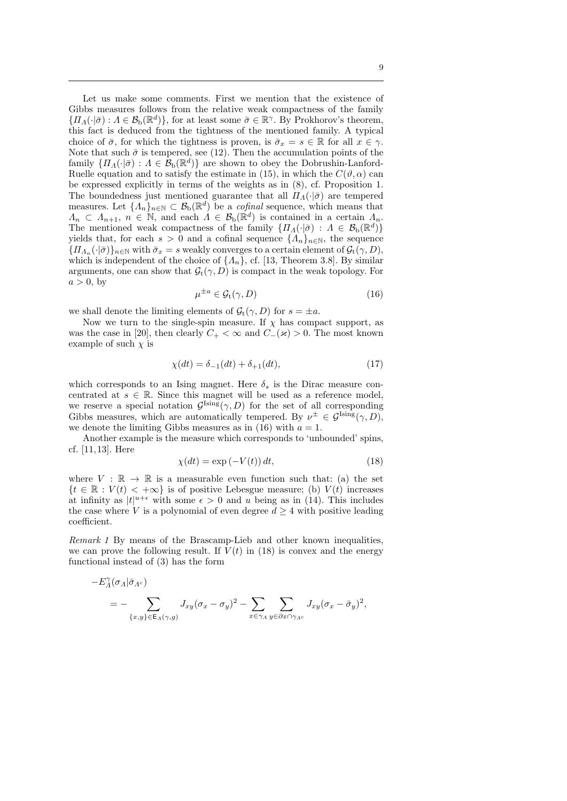Let us make some comments. First we mention that the existence of Gibbs measures follows from the relative weak compactness of the family  ${I_n(\cdot|\sigma): A \in \mathcal{B}_b(\mathbb{R}^d)}$ , for at least some  $\bar{\sigma} \in \mathbb{R}^{\gamma}$ . By Prokhorov's theorem, this fact is deduced from the tightness of the mentioned family. A typical choice of  $\bar{\sigma}$ , for which the tightness is proven, is  $\bar{\sigma}_r = s \in \mathbb{R}$  for all  $x \in \gamma$ . Note that such  $\bar{\sigma}$  is tempered, see (12). Then the accumulation points of the family  $\{ \Pi_A(\cdot | \bar{\sigma}) : A \in \mathcal{B}_b(\mathbb{R}^d) \}$  are shown to obey the Dobrushin-Lanford-Ruelle equation and to satisfy the estimate in (15), in which the  $C(\vartheta, \alpha)$  can be expressed explicitly in terms of the weights as in (8), cf. Proposition 1. The boundedness just mentioned guarantee that all  $\Pi$ <sub>*Λ*</sub>(*·*| $\bar{\sigma}$ ) are tempered measures. Let  $\{\Lambda_n\}_{n\in\mathbb{N}}\subset\mathcal{B}_b(\mathbb{R}^d)$  be a *cofinal* sequence, which means that  $\Lambda_n \subset \Lambda_{n+1}, n \in \mathbb{N}$ , and each  $\Lambda \in \mathcal{B}_b(\mathbb{R}^d)$  is contained in a certain  $\Lambda_n$ . The mentioned weak compactness of the family  $\{ \Pi_A(\cdot | \bar{\sigma}) : A \in \mathcal{B}_b(\mathbb{R}^d) \}$ yields that, for each  $s > 0$  and a cofinal sequence  $\{A_n\}_{n \in \mathbb{N}}$ , the sequence  ${I_n}$   $\{$   $|$  $I_{\Lambda_n}$  $\{$  $\cdot$  $|$  $\bar{\sigma}$  $\}$  $\}$   $\eta$  with  $\bar{\sigma}_x = s$  weakly converges to a certain element of  $\mathcal{G}_t$  $\{ \gamma, D \}$ , which is independent of the choice of  $\{A_n\}$ , cf. [13, Theorem 3.8]. By similar arguments, one can show that  $G_t(\gamma, D)$  is compact in the weak topology. For  $a > 0$ , by

$$
\mu^{\pm a} \in \mathcal{G}_t(\gamma, D) \tag{16}
$$

we shall denote the limiting elements of  $\mathcal{G}_t(\gamma, D)$  for  $s = \pm a$ .

Now we turn to the single-spin measure. If  $\chi$  has compact support, as was the case in [20], then clearly  $C_+ < \infty$  and  $C_-(\varkappa) > 0$ . The most known example of such  $\chi$  is

$$
\chi(dt) = \delta_{-1}(dt) + \delta_{+1}(dt),
$$
\n(17)

which corresponds to an Ising magnet. Here  $\delta_s$  is the Dirac measure concentrated at  $s \in \mathbb{R}$ . Since this magnet will be used as a reference model, we reserve a special notation  $\mathcal{G}^{\text{Ising}}(\gamma, D)$  for the set of all corresponding Gibbs measures, which are automatically tempered. By  $\nu^{\pm} \in \mathcal{G}^{\text{Ising}}(\gamma, D)$ , we denote the limiting Gibbs measures as in (16) with  $a = 1$ .

Another example is the measure which corresponds to 'unbounded' spins, cf. [11, 13]. Here

$$
\chi(dt) = \exp(-V(t)) dt,\t(18)
$$

where  $V : \mathbb{R} \to \mathbb{R}$  is a measurable even function such that: (a) the set  ${t \in \mathbb{R} : V(t) < +\infty}$  is of positive Lebesgue measure; (b) *V*(*t*) increases at infinity as  $|t|^{u+\epsilon}$  with some  $\epsilon > 0$  and *u* being as in (14). This includes the case where *V* is a polynomial of even degree  $d \geq 4$  with positive leading coefficient.

*Remark 1* By means of the Brascamp-Lieb and other known inequalities, we can prove the following result. If  $V(t)$  in (18) is convex and the energy functional instead of (3) has the form

$$
-E_{\Lambda}^{\gamma}(\sigma_{\Lambda}|\bar{\sigma}_{\Lambda^c})
$$
  
= -\sum\_{\{x,y\}\in E\_{\Lambda}(\gamma,g)} J\_{xy}(\sigma\_x-\sigma\_y)^2 - \sum\_{x\in\gamma\_{\Lambda}} \sum\_{y\in\partial x\cap\gamma\_{\Lambda^c}} J\_{xy}(\sigma\_x-\bar{\sigma}\_y)^2,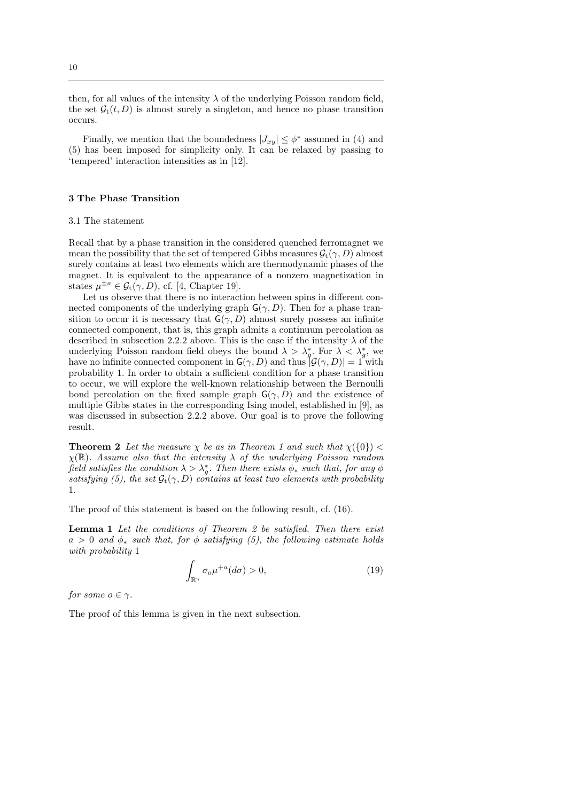then, for all values of the intensity  $\lambda$  of the underlying Poisson random field, the set  $\mathcal{G}_t(t, D)$  is almost surely a singleton, and hence no phase transition occurs.

Finally, we mention that the boundedness  $|J_{xy}| \leq \phi^*$  assumed in (4) and (5) has been imposed for simplicity only. It can be relaxed by passing to 'tempered' interaction intensities as in [12].

# **3 The Phase Transition**

#### 3.1 The statement

Recall that by a phase transition in the considered quenched ferromagnet we mean the possibility that the set of tempered Gibbs measures  $\mathcal{G}_t(\gamma, D)$  almost surely contains at least two elements which are thermodynamic phases of the magnet. It is equivalent to the appearance of a nonzero magnetization in states  $\mu^{\pm a} \in \mathcal{G}_t(\gamma, D)$ , cf. [4, Chapter 19].

Let us observe that there is no interaction between spins in different connected components of the underlying graph  $\mathsf{G}(\gamma,D)$ . Then for a phase transition to occur it is necessary that  $G(\gamma, D)$  almost surely possess an infinite connected component, that is, this graph admits a continuum percolation as described in subsection 2.2.2 above. This is the case if the intensity  $\lambda$  of the underlying Poisson random field obeys the bound  $\lambda > \lambda_g^*$ . For  $\lambda < \lambda_g^*$ , we have no infinite connected component in  $G(\gamma, D)$  and thus  $|\mathcal{G}(\gamma, D)| = 1$  with probability 1. In order to obtain a sufficient condition for a phase transition to occur, we will explore the well-known relationship between the Bernoulli bond percolation on the fixed sample graph  $\mathsf{G}(\gamma, D)$  and the existence of multiple Gibbs states in the corresponding Ising model, established in [9], as was discussed in subsection 2.2.2 above. Our goal is to prove the following result.

**Theorem 2** Let the measure  $\chi$  be as in Theorem 1 and such that  $\chi(\{0\})$  < *χ*(R)*. Assume also that the intensity λ of the underlying Poisson random field satisfies the condition*  $\lambda > \lambda_g^*$ . Then there exists  $\phi_*$  such that, for any  $\phi$ *satisfying (5), the set*  $\mathcal{G}_t(\gamma, D)$  *contains at least two elements with probability* 1*.*

The proof of this statement is based on the following result, cf. (16).

**Lemma 1** *Let the conditions of Theorem 2 be satisfied. Then there exist*  $a > 0$  *and*  $\phi_*$  *such that, for*  $\phi$  *satisfying (5), the following estimate holds with probability* 1

$$
\int_{\mathbb{R}^{\gamma}} \sigma_o \mu^{+a}(d\sigma) > 0,
$$
\n(19)

*for some*  $o \in \gamma$ *.* 

The proof of this lemma is given in the next subsection.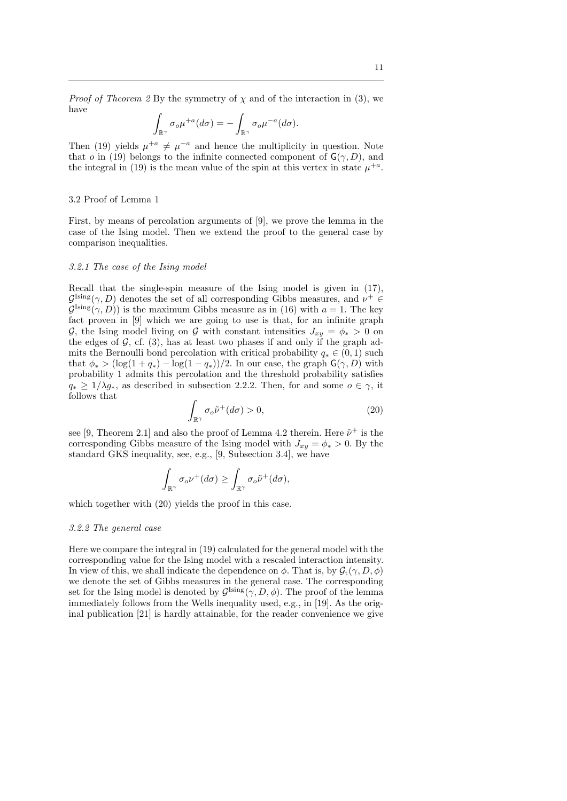*Proof of Theorem 2* By the symmetry of  $\chi$  and of the interaction in (3), we have

$$
\int_{\mathbb{R}^{\gamma}} \sigma_o \mu^{+a}(d\sigma) = - \int_{\mathbb{R}^{\gamma}} \sigma_o \mu^{-a}(d\sigma).
$$

Then (19) yields  $\mu^{+a} \neq \mu^{-a}$  and hence the multiplicity in question. Note that *o* in (19) belongs to the infinite connected component of  $G(\gamma, D)$ , and the integral in (19) is the mean value of the spin at this vertex in state  $\mu^{+a}$ .

#### 3.2 Proof of Lemma 1

First, by means of percolation arguments of [9], we prove the lemma in the case of the Ising model. Then we extend the proof to the general case by comparison inequalities.

## *3.2.1 The case of the Ising model*

Recall that the single-spin measure of the Ising model is given in (17),  $\mathcal{G}^{\text{Ising}}(\gamma, D)$  denotes the set of all corresponding Gibbs measures, and  $\nu^+ \in$  $G^{\text{Ising}}(\gamma, D)$  is the maximum Gibbs measure as in (16) with  $a = 1$ . The key fact proven in [9] which we are going to use is that, for an infinite graph *G*, the Ising model living on *G* with constant intensities  $J_{xy} = \phi_* > 0$  on the edges of  $G$ , cf.  $(3)$ , has at least two phases if and only if the graph admits the Bernoulli bond percolation with critical probability  $q_* \in (0,1)$  such that  $\phi_*$  > (log(1 +  $q_*$ ) – log(1 –  $q_*$ ))/2. In our case, the graph  $\mathsf{G}(\gamma, D)$  with probability 1 admits this percolation and the threshold probability satisfies  $q_* \geq 1/\lambda g_*$ , as described in subsection 2.2.2. Then, for and some  $o \in \gamma$ , it follows that

$$
\int_{\mathbb{R}^{\gamma}} \sigma_o \tilde{\nu}^+(d\sigma) > 0,\tag{20}
$$

see [9, Theorem 2.1] and also the proof of Lemma 4.2 therein. Here  $\tilde{\nu}^+$  is the corresponding Gibbs measure of the Ising model with  $J_{xy} = \phi_* > 0$ . By the standard GKS inequality, see, e.g., [9, Subsection 3.4], we have

$$
\int_{\mathbb{R}^{\gamma}} \sigma_o \nu^+(d\sigma) \ge \int_{\mathbb{R}^{\gamma}} \sigma_o \tilde{\nu}^+(d\sigma),
$$

which together with (20) yields the proof in this case.

## *3.2.2 The general case*

Here we compare the integral in (19) calculated for the general model with the corresponding value for the Ising model with a rescaled interaction intensity. In view of this, we shall indicate the dependence on  $\phi$ . That is, by  $\mathcal{G}_t(\gamma, D, \phi)$ we denote the set of Gibbs measures in the general case. The corresponding set for the Ising model is denoted by  $\mathcal{G}^{\text{Ising}}(\gamma, D, \phi)$ . The proof of the lemma immediately follows from the Wells inequality used, e.g., in [19]. As the original publication [21] is hardly attainable, for the reader convenience we give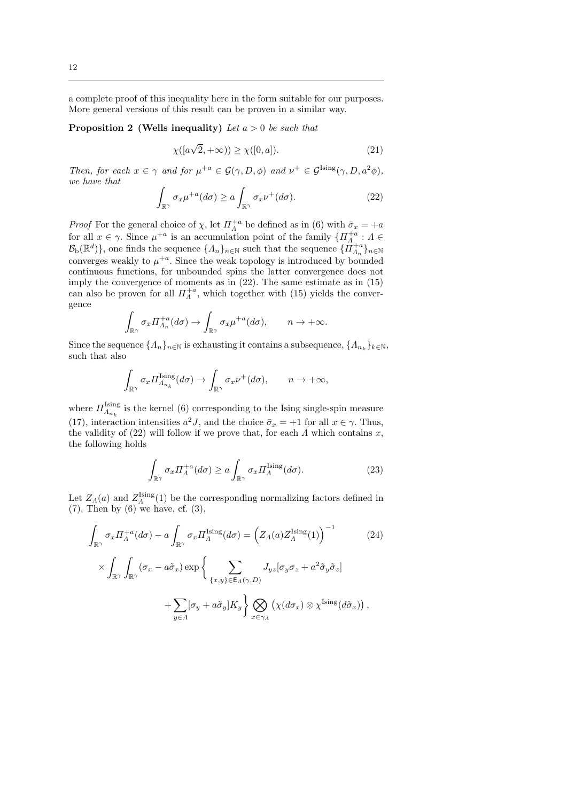a complete proof of this inequality here in the form suitable for our purposes. More general versions of this result can be proven in a similar way.

**Proposition 2 (Wells inequality)** *Let a >* 0 *be such that*

$$
\chi([a\sqrt{2}, +\infty)) \ge \chi([0, a]). \tag{21}
$$

*Then, for each*  $x \in \gamma$  *and for*  $\mu^{+a} \in \mathcal{G}(\gamma, D, \phi)$  *and*  $\nu^{+} \in \mathcal{G}^{\text{Ising}}(\gamma, D, a^2\phi)$ *, we have that*

$$
\int_{\mathbb{R}^{\gamma}} \sigma_x \mu^{+a}(d\sigma) \ge a \int_{\mathbb{R}^{\gamma}} \sigma_x \nu^{+}(d\sigma). \tag{22}
$$

*Proof* For the general choice of *χ*, let  $\Pi_A^{+a}$  be defined as in (6) with  $\bar{\sigma}_x = +a$ for all  $x \in \gamma$ . Since  $\mu^{+a}$  is an accumulation point of the family  $\{ \Pi_{\Lambda}^{+a} : \Lambda \in$  $\mathcal{B}_{b}(\mathbb{R}^{d})$ }, one finds the sequence  $\{ \Lambda_{n} \}_{n \in \mathbb{N}}$  such that the sequence  $\{ \Pi_{\Lambda_{n}}^{+a} \}_{n \in \mathbb{N}}$ converges weakly to  $\mu^{+a}$ . Since the weak topology is introduced by bounded continuous functions, for unbounded spins the latter convergence does not imply the convergence of moments as in (22). The same estimate as in (15) can also be proven for all  $\Pi_A^{+a}$ , which together with (15) yields the convergence

$$
\int_{\mathbb{R}^{\gamma}} \sigma_x \Pi_{\Lambda_n}^{+a}(d\sigma) \to \int_{\mathbb{R}^{\gamma}} \sigma_x \mu^{+a}(d\sigma), \qquad n \to +\infty.
$$

Since the sequence  $\{A_n\}_{n\in\mathbb{N}}$  is exhausting it contains a subsequence,  $\{A_{n_k}\}_{k\in\mathbb{N}}$ , such that also

$$
\int_{\mathbb{R}^{\gamma}} \sigma_x \Pi_{\Lambda_{n_k}}^{\text{Ising}}(d\sigma) \to \int_{\mathbb{R}^{\gamma}} \sigma_x \nu^+(d\sigma), \qquad n \to +\infty,
$$

where  $\Pi_{\Lambda_{n_k}}^{\text{Ising}}$  is the kernel (6) corresponding to the Ising single-spin measure (17), interaction intensities  $a^2J$ , and the choice  $\bar{\sigma}_x = +1$  for all  $x \in \gamma$ . Thus, the validity of (22) will follow if we prove that, for each *Λ* which contains *x*, the following holds

$$
\int_{\mathbb{R}^{\gamma}} \sigma_x \Pi_A^{+a}(d\sigma) \ge a \int_{\mathbb{R}^{\gamma}} \sigma_x \Pi_A^{\text{Ising}}(d\sigma). \tag{23}
$$

Let  $Z_A(a)$  and  $Z_A^{\text{Ising}}(1)$  be the corresponding normalizing factors defined in  $(7)$ . Then by  $(6)$  we have, cf.  $(3)$ ,

$$
\int_{\mathbb{R}^{\gamma}} \sigma_x \Pi_A^{+a} (d\sigma) - a \int_{\mathbb{R}^{\gamma}} \sigma_x \Pi_A^{\text{Ising}} (d\sigma) = \left( Z_A(a) Z_A^{\text{Ising}} (1) \right)^{-1} \tag{24}
$$
\n
$$
\times \int_{\mathbb{R}^{\gamma}} \int_{\mathbb{R}^{\gamma}} (\sigma_x - a \tilde{\sigma}_x) \exp \left\{ \sum_{\{x, y\} \in \mathsf{E}_A(\gamma, D)} J_{yz} [\sigma_y \sigma_z + a^2 \tilde{\sigma}_y \tilde{\sigma}_z] \right\}
$$

$$
+\sum_{y\in\Lambda}[\sigma_y+a\tilde\sigma_y]K_y\bigg\}\bigotimes_{x\in\gamma_A}\big(\chi(d\sigma_x)\otimes\chi^{\text{Ising}}(d\tilde\sigma_x)\big)
$$

*,*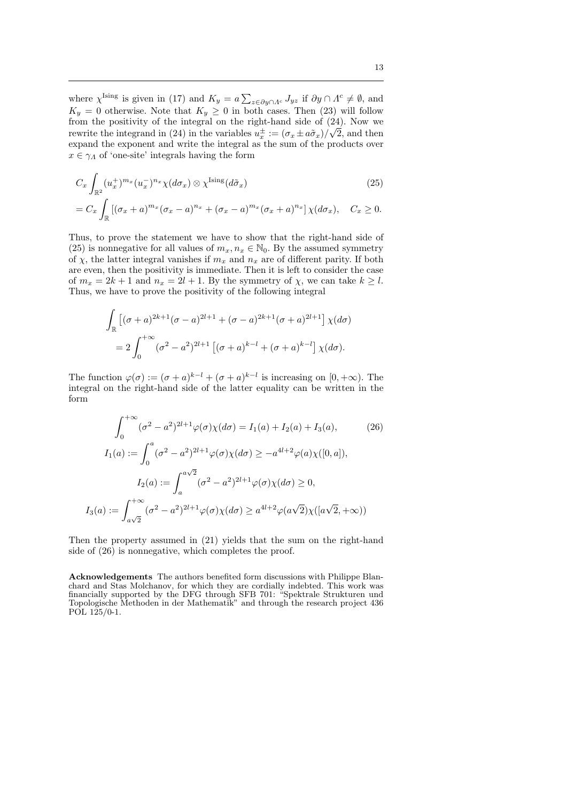where  $\chi^{\text{Ising}}$  is given in (17) and  $K_y = a \sum_{z \in \partial y \cap \Lambda^c} J_{yz}$  if  $\partial y \cap \Lambda^c \neq \emptyset$ , and  $K_y = 0$  otherwise. Note that  $K_y \geq 0$  in both cases. Then (23) will follow from the positivity of the integral on the right-hand side of  $(24)$ . Now we rewrite the integrand in (24) in the variables  $u_x^{\pm} := (\sigma_x \pm a\tilde{\sigma}_x)/\sqrt{2}$ , and then expand the exponent and write the integral as the sum of the products over  $x \in \gamma_A$  of 'one-site' integrals having the form

$$
C_x \int_{\mathbb{R}^2} (u_x^+)^{m_x} (u_x^-)^{n_x} \chi(d\sigma_x) \otimes \chi^{\text{Ising}}(d\tilde{\sigma}_x)
$$
\n
$$
= C_x \int_{\mathbb{R}} \left[ (\sigma_x + a)^{m_x} (\sigma_x - a)^{n_x} + (\sigma_x - a)^{m_x} (\sigma_x + a)^{n_x} \right] \chi(d\sigma_x), \quad C_x \ge 0.
$$
\n(25)

Thus, to prove the statement we have to show that the right-hand side of (25) is nonnegative for all values of  $m_x, n_x \in \mathbb{N}_0$ . By the assumed symmetry of  $\chi$ , the latter integral vanishes if  $m_x$  and  $n_x$  are of different parity. If both are even, then the positivity is immediate. Then it is left to consider the case of  $m_x = 2k + 1$  and  $n_x = 2l + 1$ . By the symmetry of  $\chi$ , we can take  $k \geq l$ . Thus, we have to prove the positivity of the following integral

$$
\int_{\mathbb{R}} \left[ (\sigma + a)^{2k+1} (\sigma - a)^{2l+1} + (\sigma - a)^{2k+1} (\sigma + a)^{2l+1} \right] \chi(d\sigma)
$$

$$
= 2 \int_0^{+\infty} (\sigma^2 - a^2)^{2l+1} \left[ (\sigma + a)^{k-l} + (\sigma + a)^{k-l} \right] \chi(d\sigma).
$$

The function  $\varphi(\sigma) := (\sigma + a)^{k-l} + (\sigma + a)^{k-l}$  is increasing on  $[0, +\infty)$ . The integral on the right-hand side of the latter equality can be written in the form

$$
\int_0^{+\infty} (\sigma^2 - a^2)^{2l+1} \varphi(\sigma) \chi(d\sigma) = I_1(a) + I_2(a) + I_3(a), \qquad (26)
$$
  
\n
$$
I_1(a) := \int_0^a (\sigma^2 - a^2)^{2l+1} \varphi(\sigma) \chi(d\sigma) \ge -a^{4l+2} \varphi(a) \chi([0, a]),
$$
  
\n
$$
I_2(a) := \int_a^{a\sqrt{2}} (\sigma^2 - a^2)^{2l+1} \varphi(\sigma) \chi(d\sigma) \ge 0,
$$
  
\n
$$
I_3(a) := \int_{a\sqrt{2}}^{+\infty} (\sigma^2 - a^2)^{2l+1} \varphi(\sigma) \chi(d\sigma) \ge a^{4l+2} \varphi(a\sqrt{2}) \chi([a\sqrt{2}, +\infty))
$$

Then the property assumed in (21) yields that the sum on the right-hand side of (26) is nonnegative, which completes the proof.

**Acknowledgements** The authors benefited form discussions with Philippe Blanchard and Stas Molchanov, for which they are cordially indebted. This work was financially supported by the DFG through SFB 701: "Spektrale Strukturen und Topologische Methoden in der Mathematik" and through the research project 436 POL 125/0-1.